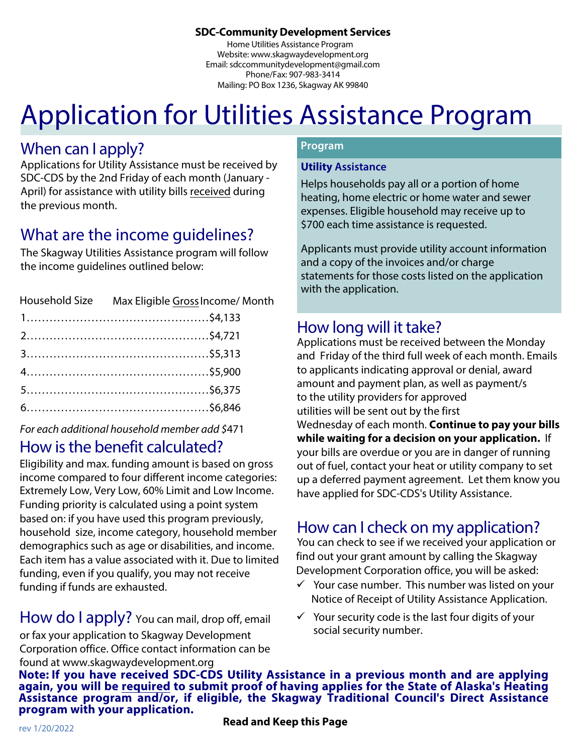#### **5DC-Community Development Services**

Home Utilities Assistance Program Website: www.skagwaydevelopment.org Email: sdccommunitydevelopment@gmail.com Phone/Fax: 907-983-3414 Mailing: PO Box 1236, Skagway AK 99840

# Application for Utilities Assistance Program

### When can I apply?

Applications for Utility Assistance must be received by SDC-CDS by the 2nd Friday of each month (January - April) for assistance with utility bills received during the previous month

### What are the income quidelines?

The Skagway Utilities Assistance program will follow the income guidelines outlined below:

| Household Size Max Eligible Gross Income/Month |
|------------------------------------------------|
|                                                |
|                                                |
|                                                |
|                                                |
|                                                |
|                                                |
|                                                |

For each additional household member add \$471

### How is the benefit calculated?

Eligibility and max. funding amount is based on gross income compared to four different income categories: Extremely Low, Very Low, 60% Limit and Low Income. Funding priority is calculated using a point system based on: if you have used this program previously, household size, income category, household member demographics such as age or disabilities, and income. Each item has a value associated with it. Due to limited funding, even if you qualify, you may not receive funding if funds are exhausted.

How do I apply? You can mail, drop off, email or fax your application to Skagway Development Corporation office. Office contact information can be found at www.skagwaydevelopment.org

#### **Program**

#### **Utility Assistance**

Helps households pay all or a portion of home heating, home electric or home water and sewer expenses. Eligible household may receive up to \$700 each time assistance is requested.

Applicants must provide utility account information and a copy of the invoices and/or charge statements for those costs listed on the application with the application.

### How long will it take?

Applications must be received between the Monday and Friday of the third full week of each month. Emails to applicants indicating approval or denial, award amount and payment plan, as well as payment/s to the utility providers for approved utilities will be sent out by the first Wednesday of each month. **Continue to pay your bills while waiting for a decision on your application.** If your bills are overdue or you are in danger of running out of fuel, contact your heat or utility company to set up a deferred payment agreement. Let them know you

### How can I check on my application?

have applied for SDC-CDS's Utility Assistance.

You can check to see if we received your application or find out your grant amount by calling the Skagway Development Corporation office, you will be asked:

- $\checkmark$  Your case number. This number was listed on your Notice of Receipt of Utility Assistance Application.
- $\checkmark$  Your security code is the last four digits of your social security number.

**/PUFIf you have received SDC-CDS Utility Assistance in a previous month and are applying again, you will be required to submit proof PGhaving applies for the State of Alaska's Heating Assistance program and/or, if eligible, the Skagway Traditional Council's Direct Assistance program with your application.**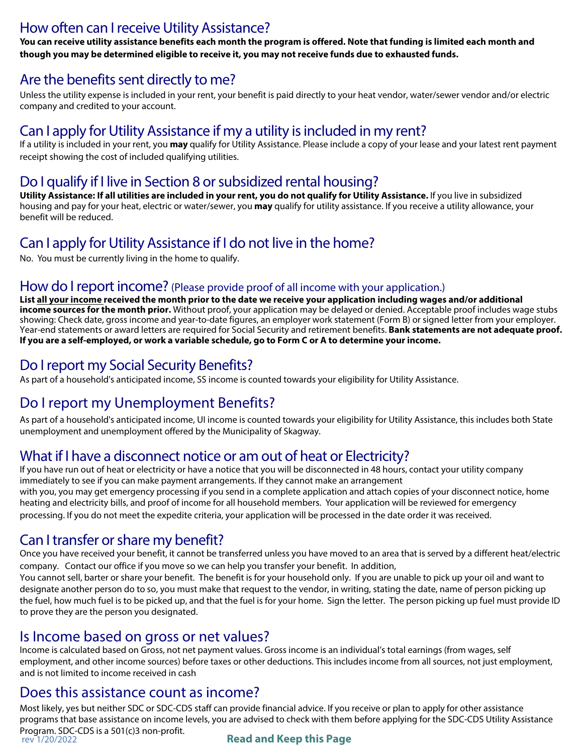#### How often can I receive Utility Assistance?

You can receive utility assistance benefits each month the program is offered. Note that funding is limited each month and though you may be determined eligible to receive it, you may not receive funds due to exhausted funds.

#### Are the benefits sent directly to me?

Unless the utility expense is included in your rent, your benefit is paid directly to your heat vendor, water/sewer vendor and/or electric company and credited to your account.

#### Can I apply for Utility Assistance if my a utility is included in my rent?

If a utility is included in your rent, you may qualify for Utility Assistance. Please include a copy of your lease and your latest rent payment receipt showing the cost of included qualifying utilities.

### Do I qualify if I live in Section 8 or subsidized rental housing?

Utility Assistance: If all utilities are included in your rent, you do not qualify for Utility Assistance. If you live in subsidized housing and pay for your heat, electric or water/sewer, you **may** qualify for utility assistance. If you receive a utility allowance, your benefit will be reduced.

### Can I apply for Utility Assistance if I do not live in the home?

No. You must be currently living in the home to qualify.

#### How do I report income? (Please provide proof of all income with your application.)

List all your income received the month prior to the date we receive your application including wages and/or additional income sources for the month prior. Without proof, your application may be delayed or denied. Acceptable proof includes wage stubs showing: Check date, gross income and year-to-date figures, an employer work statement (Form B) or signed letter from your employer. Year-end statements or award letters are required for Social Security and retirement benefits. Bank statements are not adequate proof. If you are a self-employed, or work a variable schedule, go to Form C or A to determine your income.

### Do I report my Social Security Benefits?

As part of a household's anticipated income, SS income is counted towards your eligibility for Utility Assistance.

### Do I report my Unemployment Benefits?

As part of a household's anticipated income, UI income is counted towards your eligibility for Utility Assistance, this includes both State unemployment and unemployment offered by the Municipality of Skagway.

#### What if I have a disconnect notice or am out of heat or Electricity?

If you have run out of heat or electricity or have a notice that you will be disconnected in 48 hours, contact your utility company immediately to see if you can make payment arrangements. If they cannot make an arrangement with you, you may get emergency processing if you send in a complete application and attach copies of your disconnect notice, home heating and electricity bills, and proof of income for all household members. Your application will be reviewed for emergency processing. If you do not meet the expedite criteria, your application will be processed in the date order it was received.

#### Can I transfer or share my benefit?

Once you have received your benefit, it cannot be transferred unless you have moved to an area that is served by a different heat/electric company. Contact our office if you move so we can help you transfer your benefit. In addition,

You cannot sell, barter or share your benefit. The benefit is for your household only. If you are unable to pick up your oil and want to designate another person do to so, you must make that request to the vendor, in writing, stating the date, name of person picking up the fuel, how much fuel is to be picked up, and that the fuel is for your home. Sign the letter. The person picking up fuel must provide ID to prove they are the person you designated.

#### Is Income based on gross or net values?

Income is calculated based on Gross, not net payment values. Gross income is an individual's total earnings (from wages, self employment, and other income sources) before taxes or other deductions. This includes income from all sources, not just employment, and is not limited to income received in cash

#### Does this assistance count as income?

Most likely, yes but neither SDC or SDC-CDS staff can provide financial advice. If you receive or plan to apply for other assistance programs that base assistance on income levels, you are advised to check with them before applying for the SDC-CDS Utility Assistance Program. SDC-CDS is a 501(c)3 non-profit. **Read and Keep this Page** rev 1/20/2022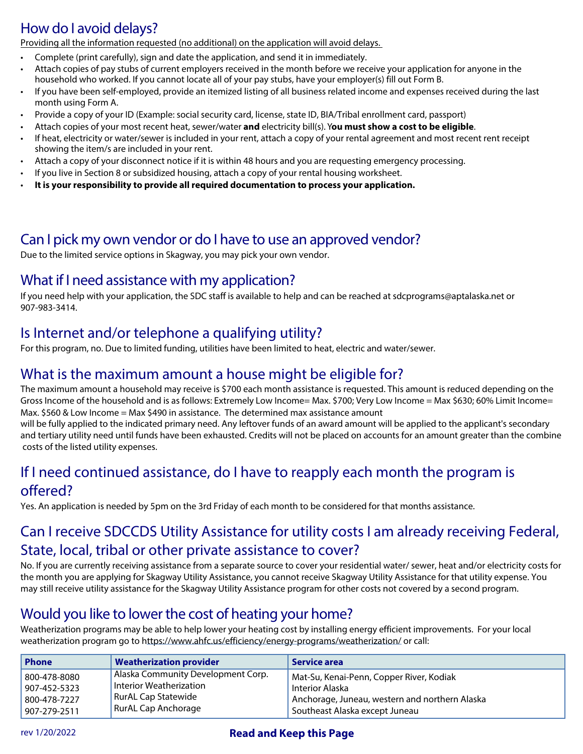### How do I avoid delays?

<u>Providing all the information requested (no additional) on the application will avoid delays.</u>

- Complete (print carefully), sign and date the application, and send it in immediately.
- Attach copies of pay stubs of current employers received in the month before we receive your application for anyone in the household who worked. If you cannot locate all of your pay stubs, have your employer(s) fill out Form B.
- If you have been self-employed, provide an itemized listing of all business related income and expenses received during the last month using Form A.
- Provide a copy of your ID (Example: social security card, license, state ID, BIA/Tribal enrollment card, passport)
- Attach copies of your most recent heat, sewer/water and electricity bill(s). You must show a cost to be eligible.
- If heat, electricity or water/sewer is included in your rent, attach a copy of your rental agreement and most recent rent receipt showing the item/s are included in your rent.
- Attach a copy of your disconnect notice if it is within 48 hours and you are requesting emergency processing.
- If you live in Section 8 or subsidized housing, attach a copy of your rental housing worksheet.
- It is your responsibility to provide all required documentation to process your application.

#### Can I pick my own vendor or do I have to use an approved vendor?

Due to the limited service options in Skagway, you may pick your own vendor.

#### What if I need assistance with my application?

If you need help with your application, the SDC staff is available to help and can be reached at sdcprograms@aptalaska.net or 907-983-3414.

### Is Internet and/or telephone a qualifying utility?

For this program, no. Due to limited funding, utilities have been limited to heat, electric and water/sewer.

#### What is the maximum amount a house might be eligible for?

The maximum amount a household may receive is \$700 each month assistance is requested. This amount is reduced depending on the Gross Income of the household and is as follows: Extremely Low Income= Max. \$700; Very Low Income = Max \$630; 60% Limit Income= Max.  $$560$  & Low Income = Max  $$490$  in assistance. The determined max assistance amount

will be fully applied to the indicated primary need. Any leftover funds of an award amount will be applied to the applicant's secondary and tertiary utility need until funds have been exhausted. Credits will not be placed on accounts for an amount greater than the combine costs of the listed utility expenses.

#### If I need continued assistance, do I have to reapply each month the program is offered?

Yes. An application is needed by 5pm on the 3rd Friday of each month to be considered for that months assistance.

#### Can I receive SDCCDS Utility Assistance for utility costs I am already receiving Federal, State, local, tribal or other private assistance to cover?

No. If you are currently receiving assistance from a separate source to cover your residential water/sewer, heat and/or electricity costs for the month you are applying for Skagway Utility Assistance, you cannot receive Skagway Utility Assistance for that utility expense. You may still receive utility assistance for the Skagway Utility Assistance program for other costs not covered by a second program.

#### Would you like to lower the cost of heating your home?

Weatherization programs may be able to help lower your heating cost by installing energy efficient improvements. For your local weatherization program go to https://www.ahfc.us/efficiency/energy-programs/weatherization/ or call:

| <b>Phone</b> | <b>Weatherization provider</b>     | Service area                                   |
|--------------|------------------------------------|------------------------------------------------|
| 800-478-8080 | Alaska Community Development Corp. | Mat-Su, Kenai-Penn, Copper River, Kodiak       |
| 907-452-5323 | Interior Weatherization            | Interior Alaska                                |
| 800-478-7227 | RurAL Cap Statewide                | Anchorage, Juneau, western and northern Alaska |
| 907-279-2511 | RurAL Cap Anchorage                | Southeast Alaska except Juneau                 |

#### rev 1/20/2022 **3FBEBOE, 19th STATE STATE STATE STATE STATE STATE STATE STATE STATE STATE STATE STATE STATE STATE**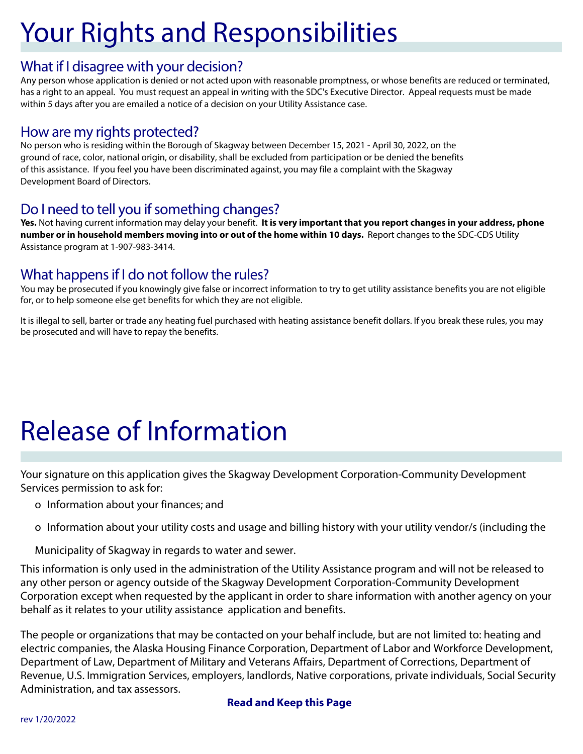# **Your Rights and Responsibilities**

#### What if I disagree with your decision?

Any person whose application is denied or not acted upon with reasonable promptness, or whose benefits are reduced or terminated, has a right to an appeal. You must request an appeal in writing with the SDC's Executive Director. Appeal requests must be made within 5 days after you are emailed a notice of a decision on your Utility Assistance case.

#### How are my rights protected?

No person who is residing within the Borough of Skagway between December 15, 2021 - April 30, 2022, on the ground of race, color, national origin, or disability, shall be excluded from participation or be denied the benefits of this assistance. If you feel you have been discriminated against, you may file a complaint with the Skagway Development Board of Directors.

#### Do I need to tell you if something changes?

Yes. Not having current information may delay your benefit. It is very important that you report changes in your address, phone number or in household members moving into or out of the home within 10 days. Report changes to the SDC-CDS Utility Assistance program at 1-907-983-3414.

#### What happens if I do not follow the rules?

You may be prosecuted if you knowingly give false or incorrect information to try to get utility assistance benefits you are not eligible for, or to help someone else get benefits for which they are not eligible.

It is illegal to sell, barter or trade any heating fuel purchased with heating assistance benefit dollars. If you break these rules, you may be prosecuted and will have to repay the benefits.

# **Release of Information**

Your signature on this application gives the Skagway Development Corporation-Community Development Services permission to ask for:

- o Information about your finances; and
- o Information about your utility costs and usage and billing history with your utility vendor/s (including the

Municipality of Skagway in regards to water and sewer.

This information is only used in the administration of the Utility Assistance program and will not be released to any other person or agency outside of the Skagway Development Corporation-Community Development Corporation except when requested by the applicant in order to share information with another agency on your behalf as it relates to your utility assistance application and benefits.

The people or organizations that may be contacted on your behalf include, but are not limited to: heating and electric companies, the Alaska Housing Finance Corporation, Department of Labor and Workforce Development, Department of Law, Department of Military and Veterans Affairs, Department of Corrections, Department of Revenue, U.S. Immigration Services, employers, landlords, Native corporations, private individuals, Social Security Administration, and tax assessors.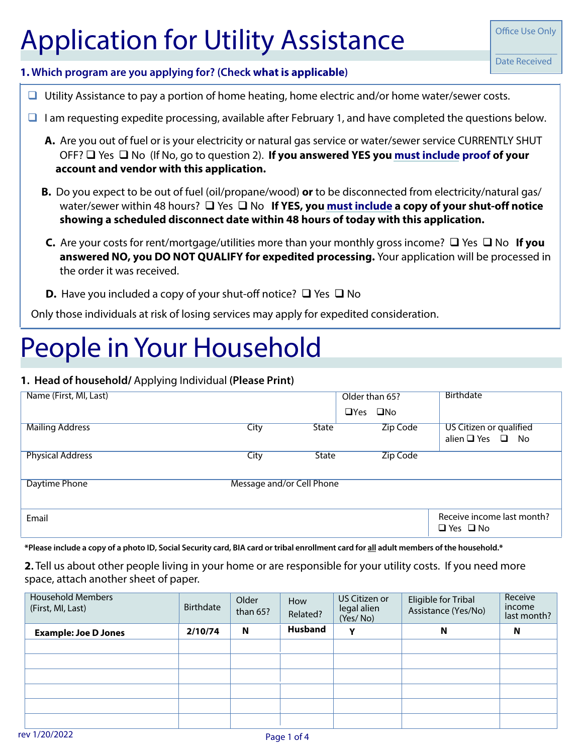# **Application for Utility Assistance**

**Office Use Only** 

#### 1. Which program are you applying for? (Check what is applicable)

- $\Box$  Utility Assistance to pay a portion of home heating, home electric and/or home water/sewer costs.
- $\Box$  I am requesting expedite processing, available after February 1, and have completed the questions below.
	- A. Are you out of fuel or is your electricity or natural gas service or water/sewer service CURRENTLY SHUT OFF?  $\Box$  Yes  $\Box$  No (If No, go to question 2). If you answered YES you must include proof of your account and vendor with this application.
	- B. Do you expect to be out of fuel (oil/propane/wood) or to be disconnected from electricity/natural gas/ water/sewer within 48 hours?  $\square$  Yes  $\square$  No If YES, you must include a copy of your shut-off notice showing a scheduled disconnect date within 48 hours of today with this application.
	- **C.** Are your costs for rent/mortgage/utilities more than your monthly gross income?  $\Box$  Yes  $\Box$  No If you answered NO, you DO NOT QUALIFY for expedited processing. Your application will be processed in the order it was received.
	- **D.** Have you included a copy of your shut-off notice?  $\Box$  Yes  $\Box$  No

Only those individuals at risk of losing services may apply for expedited consideration.

# People in Your Household

#### 1. Head of household/ Applying Individual (Please Print)

| Name (First, MI, Last)  |                           |              | Older than 65?<br>$\Box$ Yes | $\square$ No    | <b>Birthdate</b>                                      |
|-------------------------|---------------------------|--------------|------------------------------|-----------------|-------------------------------------------------------|
| <b>Mailing Address</b>  | City                      | <b>State</b> |                              | <b>Zip Code</b> | US Citizen or qualified<br>alien $\Box$ Yes $\Box$ No |
| <b>Physical Address</b> | City                      | <b>State</b> |                              | <b>Zip Code</b> |                                                       |
| Daytime Phone           | Message and/or Cell Phone |              |                              |                 |                                                       |
| Email                   |                           |              |                              |                 | Receive income last month?<br>$\Box$ Yes $\Box$ No    |

\*Please include a copy of a photo ID, Social Security card, BIA card or tribal enrollment card for all adult members of the household.\*

2. Tell us about other people living in your home or are responsible for your utility costs. If you need more space, attach another sheet of paper.

| <b>Household Members</b><br>(First, MI, Last) | <b>Birthdate</b> | Older<br>than $65$ ? | How<br>Related? | US Citizen or<br>legal alien<br>(Yes/No) | Eligible for Tribal<br>Assistance (Yes/No) | Receive<br>income<br>last month? |
|-----------------------------------------------|------------------|----------------------|-----------------|------------------------------------------|--------------------------------------------|----------------------------------|
| <b>Example: Joe D Jones</b>                   | 2/10/74          | N                    | <b>Husband</b>  | Y                                        | N                                          | N                                |
|                                               |                  |                      |                 |                                          |                                            |                                  |
|                                               |                  |                      |                 |                                          |                                            |                                  |
|                                               |                  |                      |                 |                                          |                                            |                                  |
|                                               |                  |                      |                 |                                          |                                            |                                  |
|                                               |                  |                      |                 |                                          |                                            |                                  |
|                                               |                  |                      |                 |                                          |                                            |                                  |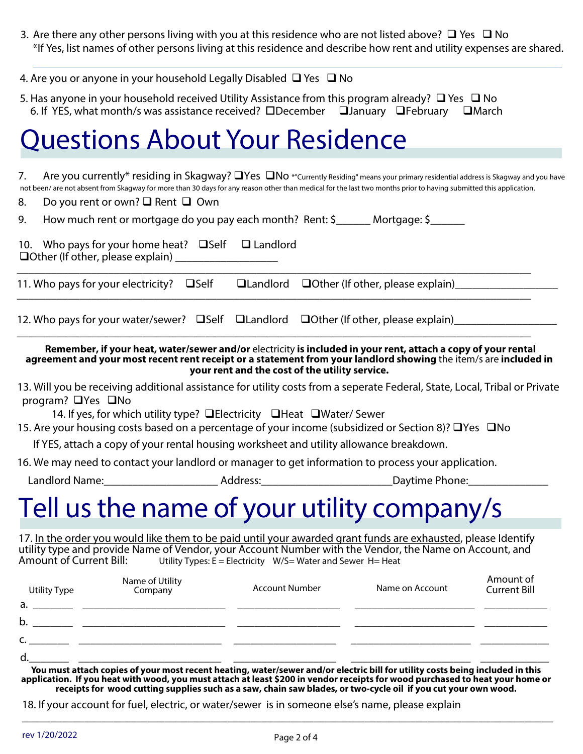3. Are there any other persons living with you at this residence who are not listed above?  $\Box$  Yes  $\Box$  No \*If Yes, list names of other persons living at this residence and describe how rent and utility expenses are shared.

| 4. Are you or anyone in your household Legally Disabled $\Box$ Yes $\Box$ No |  |
|------------------------------------------------------------------------------|--|
|------------------------------------------------------------------------------|--|

5. Has anyone in your household received Utility Assistance from this program already?  $\Box$  Yes  $\Box$  No 6. If YES, what month/s was assistance received?  $\Box$ December  $\Box$ January  $\Box$ February  $\Box$ March

## Questions About Your Residence

7. Are you currently\* residing in Skagway?  $\square$  Yes  $\square$  No \*"Currently Residing" means your primary residential address is Skagway and you have not been/are not absent from Skagway for more than 30 days for any reason other than medical for the last two months prior to having submitted this application.

8. Do you rent or own?  $\Box$  Rent  $\Box$  Own

| How much rent or mortgage do you pay each month? Rent: \$ |  | Mortgage: \$ |
|-----------------------------------------------------------|--|--------------|
|                                                           |  |              |

10. Who pays for your home heat?  $\Box$  Self  $\Box$  Landlord  $\Box$ Other (If other, please explain) @@@@@@@@@@@@@@@@@@

11. Who pays for your electricity? Solf But and lord Dother (If other, please explain) @@@@@@@@@@@@@@@@@@@@@@@@@@@@@@@@@@@@@@@@@@@@@@@@@@@@@@@@@@@@@@@@@@@@@@@@@@@@@@@@@@@@@@@@@@

@@@@@@@@@@@@@@@@@@@@@@@@@@@@@@@@@@@@@@@@@@@@@@@@@@@@@@@@@@@@@@@@@@@@@@@@@@@@@@@@@@@@@@@@@@

@@@@@@@@@@@@@@@@@@@@@@@@@@@@@@@@@@@@@@@@@@@@@@@@@@@@@@@@@@@@@@@@@@@@@@@@@@@@@@@@@@@@@@@@@@

12. Who pays for your water/sewer?  $\Box$ Self  $\Box$ Landlord  $\Box$ Other (If other, please explain) @@@@@@@@@@@@@@@@@@

**Remember, if your heat, water/sewer and/or** electricity is included in your rent, attach a copy of your rental **agreement and your most recent rent receipt or a statement from your landlord showing** the item/s are included in **your rent and the cost of the utility service.**

13. Will you be receiving additional assistance for utility costs from a seperate Federal, State, Local, Tribal or Private program?  $\Box$  Yes  $\Box$  No

14. If yes, for which utility type?  $\Box$  Electricity  $\Box$  Heat  $\Box$  Water/ Sewer

15. Are your housing costs based on a percentage of your income (subsidized or Section 8)? UYes UNo

If YES, attach a copy of your rental housing worksheet and utility allowance breakdown.

16. We may need to contact your landlord or manager to get information to process your application.

-BOEMPSE/BNF@@@@@@@@@@@@@@@@@@@@"EESFTT@@@@@@@@@@@@@@@@@@@@@@@%BZUJNF1IPOF@@@@@@@@@@@@@@

## Tell us the name of your utility company/s

17. In the order you would like them to be paid until your awarded grant funds are exhausted, please Identify utility type and provide Name of Vendor, your Account Number with the Vendor, the Name on Account, and utility<br>Amount of Current Bill: Utility Types: E = Electricity W/S= Water and Sewer H= Heat Utility Types:  $E = E$  lectricity W/S=Water and Sewer H= Heat

| Utility Type | Name of Utility<br>Company | <b>Account Number</b> | Name on Account | Amount of<br><b>Current Bill</b> |
|--------------|----------------------------|-----------------------|-----------------|----------------------------------|
| a.           |                            |                       |                 |                                  |
| b.           |                            |                       |                 |                                  |
| r            |                            |                       |                 |                                  |
| d            |                            |                       |                 |                                  |

You must attach copies of your most recent heating, water/sewer and/or electric bill for utility costs being included in this application. If you heat with wood, you must attach at least \$200 in vendor receipts for wood purchased to heat your home or receipts for wood cutting supplies such as a saw, chain saw blades, or two-cycle oil if you cut your own wood.

@@@@@@@@@@@@@@@@@@@@@@@@@@@@@@@@@@@@@@@@@@@@@@@@@@@@@@@@@@@@@@@@@@@@@@@@@@@@@@@@@@@@@@@@@@@@@

18. If your account for fuel, electric, or water/sewer is in someone else's name, please explain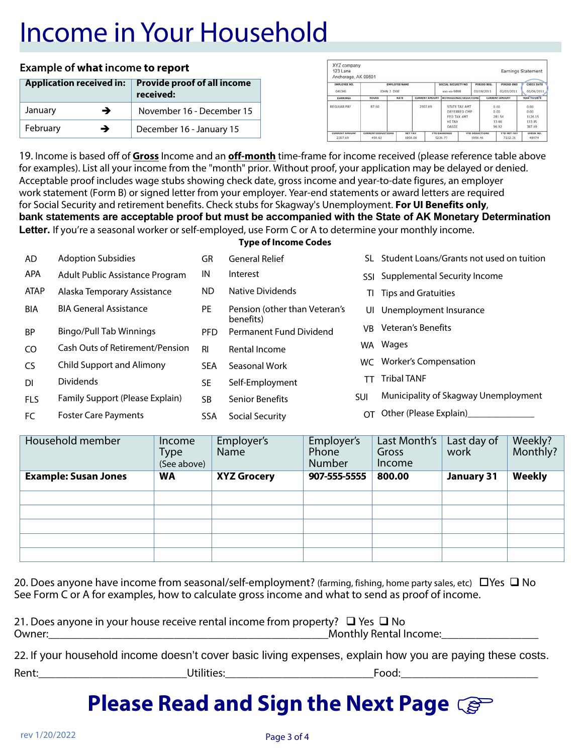# Income in Your Household

#### **Example of what income to report**

| <b>Application received in:</b> |   | <b>Provide proof of all income</b><br>received: |
|---------------------------------|---|-------------------------------------------------|
| January                         | → | November 16 - December 15                       |
| February                        | → | December 16 - January 15                        |

| XYZ company<br>123 Lane<br>Anchorage, AK 99501 |                                     |                              |                    |                       |  |                                                                               |                                  |                           |                                          | <b>Earnings Statement</b>                   |
|------------------------------------------------|-------------------------------------|------------------------------|--------------------|-----------------------|--|-------------------------------------------------------------------------------|----------------------------------|---------------------------|------------------------------------------|---------------------------------------------|
| EMPLOYEE NO.<br>045345                         |                                     | ENPLOYEE NAME<br>JOHN J. DOE |                    |                       |  | SOCIAL SECURITY NO<br>xxx-xx-9898                                             |                                  | PERIOD BEG.<br>01/18/2011 | PERIOD END<br>02/01/2011                 | <b>CHECK DATE</b><br>02/04/2011             |
| EARNINGS                                       | <b>HOURS</b>                        |                              | <b>RATE</b>        | <b>CURRENT AMOUNT</b> |  | WITHOLDINGS/DEDUCTIONS                                                        |                                  | <b>CURRENT AMOUNT</b>     |                                          | YEAR TO UATE                                |
| REGULAR PAY                                    | 87.60                               |                              |                    | 2307.69               |  | <b>STATE TAX AMT</b><br>DEFERRED CMP<br>FED TAX AMT<br><b>HI TAX</b><br>OASDE |                                  |                           | 0.00<br>0.00<br>281.54<br>33.46<br>96.92 | 0.00<br>0.00<br>1126.15<br>133.85<br>387.69 |
| <b>CURRENT AMOUNT</b><br>2307.69               | <b>CURRENT DEDUCTIONS</b><br>499.62 |                              | NET PAY<br>1808.08 |                       |  | <b>YTD EARNINGS</b><br>9230.77                                                | <b>YTD DEDUCTIONS</b><br>1998.46 |                           | <b>YTD NET PAY</b><br>7232.31            | CHECK NO.<br>48974                          |

19. Income is based off of Gross Income and an off-month time-frame for income received (please reference table above for examples). List all your income from the "month" prior. Without proof, your application may be delayed or denied. Acceptable proof includes wage stubs showing check date, gross income and year-to-date figures, an employer work statement (Form B) or signed letter from your employer. Year-end statements or award letters are required for Social Security and retirement benefits. Check stubs for Skagway's Unemployment. For UI Benefits only, bank statements are acceptable proof but must be accompanied with the State of AK Monetary Determination Letter. If you're a seasonal worker or self-employed, use Form C or A to determine your monthly income.

**Type of Income Codes** 

| AD          | <b>Adoption Subsidies</b>        | GR         | <b>General Relief</b>                | SL.            | Student Loans/Grants not used on tuition |
|-------------|----------------------------------|------------|--------------------------------------|----------------|------------------------------------------|
| APA         | Adult Public Assistance Program  | IN         | Interest                             | SSL.           | Supplemental Security Income             |
| <b>ATAP</b> | Alaska Temporary Assistance      | ND.        | Native Dividends                     | ΤI             | <b>Tips and Gratuities</b>               |
| BIA         | <b>BIA General Assistance</b>    | <b>PE</b>  | Pension (other than Veteran's        |                | UI Unemployment Insurance                |
| <b>BP</b>   | Bingo/Pull Tab Winnings          | <b>PFD</b> | benefits)<br>Permanent Fund Dividend | VB             | Veteran's Benefits                       |
| CO.         | Cash Outs of Retirement/Pension  | <b>RI</b>  | Rental Income                        |                | WA Wages                                 |
| <b>CS</b>   | <b>Child Support and Alimony</b> | <b>SEA</b> | Seasonal Work                        | WC.            | Worker's Compensation                    |
| <b>DI</b>   | <b>Dividends</b>                 | <b>SE</b>  | Self-Employment                      | TТ             | <b>Tribal TANF</b>                       |
| <b>FLS</b>  | Family Support (Please Explain)  | SB.        | <b>Senior Benefits</b>               | <b>SUI</b>     | Municipality of Skagway Unemployment     |
| FC          | <b>Foster Care Payments</b>      | SSA        | Social Security                      | $\overline{O}$ | Other (Please Explain)                   |

| Household member            | Income<br><b>Type</b><br>(See above) | Employer's<br>Name | Employer's<br>Phone<br>Number | Last Month's<br>Gross<br>Income | Last day of<br>work | Weekly?<br>Monthly? |
|-----------------------------|--------------------------------------|--------------------|-------------------------------|---------------------------------|---------------------|---------------------|
| <b>Example: Susan Jones</b> | <b>WA</b>                            | <b>XYZ Grocery</b> | 907-555-5555                  | 800.00                          | <b>January 31</b>   | <b>Weekly</b>       |
|                             |                                      |                    |                               |                                 |                     |                     |
|                             |                                      |                    |                               |                                 |                     |                     |
|                             |                                      |                    |                               |                                 |                     |                     |
|                             |                                      |                    |                               |                                 |                     |                     |
|                             |                                      |                    |                               |                                 |                     |                     |
|                             |                                      |                    |                               |                                 |                     |                     |

20. Does anyone have income from seasonal/self-employment? (farming, fishing, home party sales, etc)  $\Box$  Yes  $\Box$  No See Form C or A for examples, how to calculate gross income and what to send as proof of income.

|        | 21. Does anyone in your house receive rental income from property? $\Box$ Yes $\Box$ No |
|--------|-----------------------------------------------------------------------------------------|
| Owner: | Monthly Rental Income:                                                                  |

| 22. If your household income doesn't cover basic living expenses, explain how you are paying these costs. |  |  |  |
|-----------------------------------------------------------------------------------------------------------|--|--|--|
|-----------------------------------------------------------------------------------------------------------|--|--|--|

Utilities:

Rent:

<u>reserve the serves of the serves of the serves of the serves of the serves of the serves of the serves of the s</u>

### **Please Read and Sign the Next Page Caps**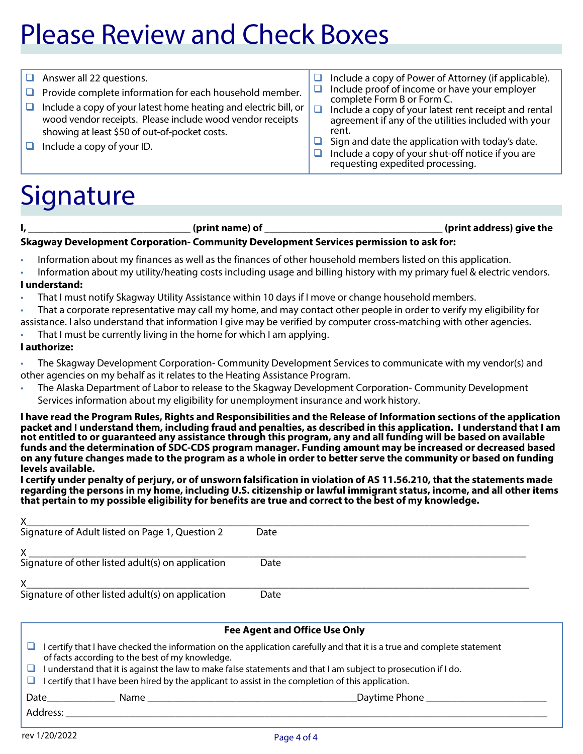# **Please Review and Check Boxes**

- $\Box$  Answer all 22 questions.
- $\Box$  Provide complete information for each household member.
- $\Box$  Include a copy of your latest home heating and electric bill, or wood vendor receipts. Please include wood vendor receipts showing at least \$50 of out-of-pocket costs.
- $\Box$  Include a copy of your ID.
- $\Box$  Include a copy of Power of Attorney (if applicable).  $\Box$ Include proof of income or have your employer
- complete Form B or Form C.
- $\Box$ Include a copy of your latest rent receipt and rental agreement if any of the utilities included with your rent.
- $\Box$  Sign and date the application with today's date.
- $\Box$  Include a copy of your shut-off notice if you are requesting expedited processing.

## Signature

|                        | $\tilde{\phantom{a}}$                                                                                                                                                                                                                                                                                                                                                                                                                                                                                                                                                                                                                                                                                                                                                                                                                                                                                                                                                                 |
|------------------------|---------------------------------------------------------------------------------------------------------------------------------------------------------------------------------------------------------------------------------------------------------------------------------------------------------------------------------------------------------------------------------------------------------------------------------------------------------------------------------------------------------------------------------------------------------------------------------------------------------------------------------------------------------------------------------------------------------------------------------------------------------------------------------------------------------------------------------------------------------------------------------------------------------------------------------------------------------------------------------------|
|                        | (print address) give the<br><u> 1989 - Johann Barn, mars eta bainar eta baina eta baina eta baina eta baina eta baina eta baina eta baina e</u>                                                                                                                                                                                                                                                                                                                                                                                                                                                                                                                                                                                                                                                                                                                                                                                                                                       |
|                        | Skagway Development Corporation- Community Development Services permission to ask for:                                                                                                                                                                                                                                                                                                                                                                                                                                                                                                                                                                                                                                                                                                                                                                                                                                                                                                |
| $\bullet$<br>$\bullet$ | Information about my finances as well as the finances of other household members listed on this application.<br>Information about my utility/heating costs including usage and billing history with my primary fuel & electric vendors.                                                                                                                                                                                                                                                                                                                                                                                                                                                                                                                                                                                                                                                                                                                                               |
|                        | <b>Lunderstand:</b>                                                                                                                                                                                                                                                                                                                                                                                                                                                                                                                                                                                                                                                                                                                                                                                                                                                                                                                                                                   |
| $\bullet$              | That I must notify Skagway Utility Assistance within 10 days if I move or change household members.<br>That a corporate representative may call my home, and may contact other people in order to verify my eligibility for<br>assistance. I also understand that information I give may be verified by computer cross-matching with other agencies.<br>That I must be currently living in the home for which I am applying.                                                                                                                                                                                                                                                                                                                                                                                                                                                                                                                                                          |
|                        | I authorize:                                                                                                                                                                                                                                                                                                                                                                                                                                                                                                                                                                                                                                                                                                                                                                                                                                                                                                                                                                          |
| $\bullet$<br>$\bullet$ | The Skagway Development Corporation-Community Development Services to communicate with my vendor(s) and<br>other agencies on my behalf as it relates to the Heating Assistance Program.<br>The Alaska Department of Labor to release to the Skagway Development Corporation-Community Development<br>Services information about my eligibility for unemployment insurance and work history.                                                                                                                                                                                                                                                                                                                                                                                                                                                                                                                                                                                           |
|                        | I have read the Program Rules, Rights and Responsibilities and the Release of Information sections of the application<br>packet and I understand them, including fraud and penalties, as described in this application. I understand that I am<br>not entitled to or guaranteed any assistance through this program, any and all funding will be based on available<br>funds and the determination of SDC-CDS program manager. Funding amount may be increased or decreased based<br>on any future changes made to the program as a whole in order to better serve the community or based on funding<br>levels available.<br>I certify under penalty of perjury, or of unsworn falsification in violation of AS 11.56.210, that the statements made<br>regarding the persons in my home, including U.S. citizenship or lawful immigrant status, income, and all other items<br>that pertain to my possible eligibility for benefits are true and correct to the best of my knowledge. |
| X.                     |                                                                                                                                                                                                                                                                                                                                                                                                                                                                                                                                                                                                                                                                                                                                                                                                                                                                                                                                                                                       |
|                        | Date                                                                                                                                                                                                                                                                                                                                                                                                                                                                                                                                                                                                                                                                                                                                                                                                                                                                                                                                                                                  |
|                        |                                                                                                                                                                                                                                                                                                                                                                                                                                                                                                                                                                                                                                                                                                                                                                                                                                                                                                                                                                                       |
|                        | $\overbrace{\text{Signature of other listed adult(s) on application}}$<br>Date                                                                                                                                                                                                                                                                                                                                                                                                                                                                                                                                                                                                                                                                                                                                                                                                                                                                                                        |

Signature of other listed adult(s) on application

|        | <b>Fee Agent and Office Use Only</b>                                                                                                                                                                                                                 |  |  |  |  |
|--------|------------------------------------------------------------------------------------------------------------------------------------------------------------------------------------------------------------------------------------------------------|--|--|--|--|
| ⊔ -    | I certify that I have checked the information on the application carefully and that it is a true and complete statement<br>of facts according to the best of my knowledge.                                                                           |  |  |  |  |
| $\Box$ | I understand that it is against the law to make false statements and that I am subject to prosecution if I do.<br>$\Box$ I certify that I have been hired by the applicant to assist in the completion of this application.                          |  |  |  |  |
|        | Daytime Phone<br><b>Date</b> and the same of the same of the same of the same of the same of the same of the same of the same of the same of the same of the same of the same of the same of the same of the same of the same of the same of the sam |  |  |  |  |
|        | Address:                                                                                                                                                                                                                                             |  |  |  |  |

Date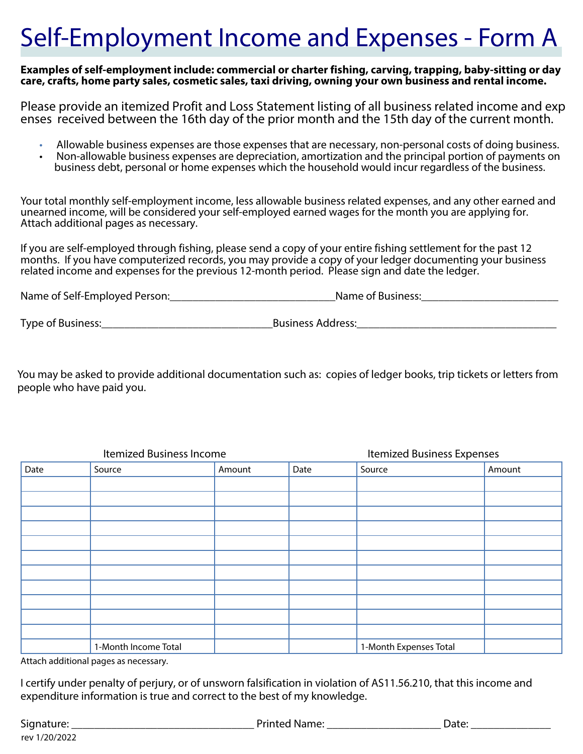# Self-Employment Income and Expenses - Form A

Examples of self-employment include: commercial or charter fishing, carving, trapping, baby-sitting or day care, crafts, home party sales, cosmetic sales, taxi driving, owning your own business and rental income.

Please provide an itemized Profit and Loss Statement listing of all business related income and exp enses received between the 16th day of the prior month and the 15th day of the current month.

- . Allowable business expenses are those expenses that are necessary, non-personal costs of doing business.
- Non-allowable business expenses are depreciation, amortization and the principal portion of payments on  $\bullet$ business debt, personal or home expenses which the household would incur regardless of the business.

Your total monthly self-employment income, less allowable business related expenses, and any other earned and unearned income, will be considered your self-employed earned wages for the month you are applying for. Attach additional pages as necessary.

If you are self-employed through fishing, please send a copy of your entire fishing settlement for the past 12 months. If you have computerized records, you may provide a copy of your ledger documenting your business related income and expenses for the previous 12-month period. Please sign and date the ledger.

| Name of Self-Employed Person: | Name of Business: |
|-------------------------------|-------------------|
|                               |                   |

Type of Business: Type of Business Address:

You may be asked to provide additional documentation such as: copies of ledger books, trip tickets or letters from people who have paid you.

| Itemized Business Income |                      |        |      | <b>Itemized Business Expenses</b> |        |  |
|--------------------------|----------------------|--------|------|-----------------------------------|--------|--|
| Date                     | Source               | Amount | Date | Source                            | Amount |  |
|                          |                      |        |      |                                   |        |  |
|                          |                      |        |      |                                   |        |  |
|                          |                      |        |      |                                   |        |  |
|                          |                      |        |      |                                   |        |  |
|                          |                      |        |      |                                   |        |  |
|                          |                      |        |      |                                   |        |  |
|                          |                      |        |      |                                   |        |  |
|                          |                      |        |      |                                   |        |  |
|                          |                      |        |      |                                   |        |  |
|                          |                      |        |      |                                   |        |  |
|                          |                      |        |      |                                   |        |  |
|                          | 1-Month Income Total |        |      | 1-Month Expenses Total            |        |  |

Attach additional pages as necessary.

I certify under penalty of perjury, or of unsworn falsification in violation of AS11.56.210, that this income and expenditure information is true and correct to the best of my knowledge.

| Signature:    | <b>Printed Name:</b> | Date: |
|---------------|----------------------|-------|
| rev 1/20/2022 |                      |       |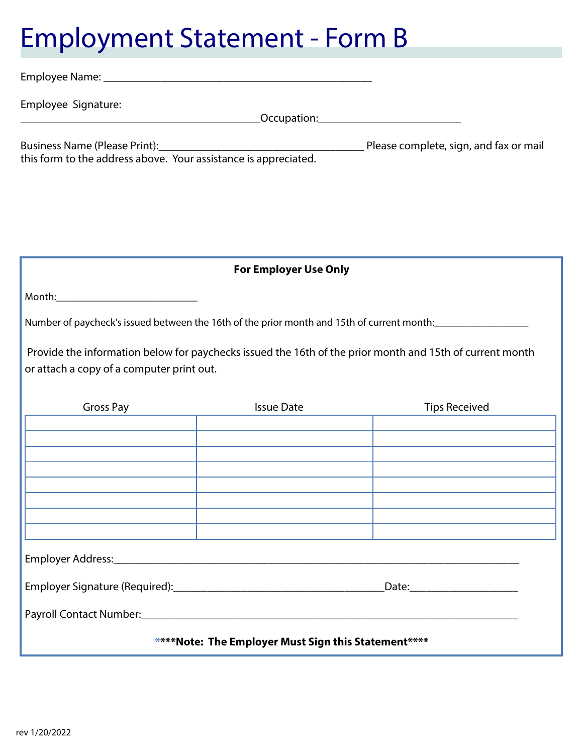# **Employment Statement - Form B**

| Employee Signature:                                             |                                                     |                                                                                                          |  |  |
|-----------------------------------------------------------------|-----------------------------------------------------|----------------------------------------------------------------------------------------------------------|--|--|
| this form to the address above. Your assistance is appreciated. |                                                     |                                                                                                          |  |  |
|                                                                 | <b>For Employer Use Only</b>                        |                                                                                                          |  |  |
|                                                                 |                                                     |                                                                                                          |  |  |
|                                                                 |                                                     | Number of paycheck's issued between the 16th of the prior month and 15th of current month:<br>1992       |  |  |
| or attach a copy of a computer print out.                       |                                                     | Provide the information below for paychecks issued the 16th of the prior month and 15th of current month |  |  |
| Gross Pay                                                       | <b>Issue Date</b>                                   | <b>Tips Received</b>                                                                                     |  |  |
|                                                                 |                                                     |                                                                                                          |  |  |
|                                                                 |                                                     |                                                                                                          |  |  |
|                                                                 |                                                     |                                                                                                          |  |  |
|                                                                 |                                                     |                                                                                                          |  |  |
|                                                                 |                                                     |                                                                                                          |  |  |
|                                                                 |                                                     |                                                                                                          |  |  |
|                                                                 |                                                     |                                                                                                          |  |  |
|                                                                 |                                                     |                                                                                                          |  |  |
|                                                                 | ****Note: The Employer Must Sign this Statement**** |                                                                                                          |  |  |